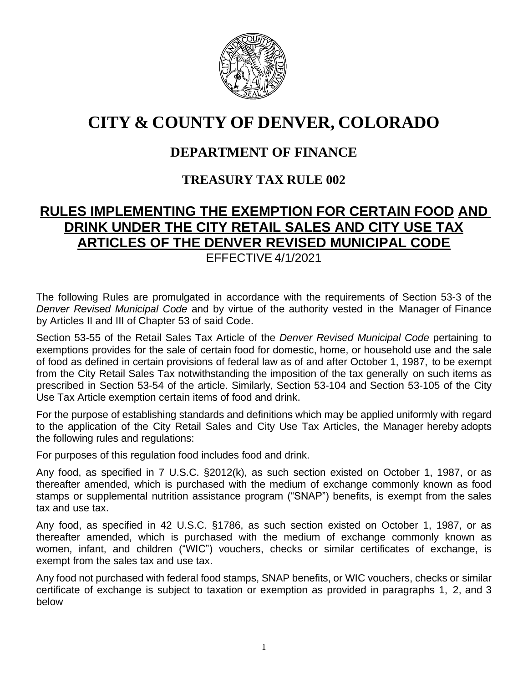

# **CITY & COUNTY OF DENVER, COLORADO**

## **DEPARTMENT OF FINANCE**

### **TREASURY TAX RULE 002**

## **RULES IMPLEMENTING THE EXEMPTION FOR CERTAIN FOOD AND DRINK UNDER THE CITY RETAIL SALES AND CITY USE TAX ARTICLES OF THE DENVER REVISED MUNICIPAL CODE**

EFFECTIVE 4/1/2021

The following Rules are promulgated in accordance with the requirements of Section 53-3 of the *Denver Revised Municipal Code* and by virtue of the authority vested in the Manager of Finance by Articles II and III of Chapter 53 of said Code.

Section 53-55 of the Retail Sales Tax Article of the *Denver Revised Municipal Code* pertaining to exemptions provides for the sale of certain food for domestic, home, or household use and the sale of food as defined in certain provisions of federal law as of and after October 1, 1987, to be exempt from the City Retail Sales Tax notwithstanding the imposition of the tax generally on such items as prescribed in Section 53-54 of the article. Similarly, Section 53-104 and Section 53-105 of the City Use Tax Article exemption certain items of food and drink.

For the purpose of establishing standards and definitions which may be applied uniformly with regard to the application of the City Retail Sales and City Use Tax Articles, the Manager hereby adopts the following rules and regulations:

For purposes of this regulation food includes food and drink.

Any food, as specified in 7 U.S.C. §2012(k), as such section existed on October 1, 1987, or as thereafter amended, which is purchased with the medium of exchange commonly known as food stamps or supplemental nutrition assistance program ("SNAP") benefits, is exempt from the sales tax and use tax.

Any food, as specified in 42 U.S.C. §1786, as such section existed on October 1, 1987, or as thereafter amended, which is purchased with the medium of exchange commonly known as women, infant, and children ("WIC") vouchers, checks or similar certificates of exchange, is exempt from the sales tax and use tax.

Any food not purchased with federal food stamps, SNAP benefits, or WIC vouchers, checks or similar certificate of exchange is subject to taxation or exemption as provided in paragraphs 1, 2, and 3 below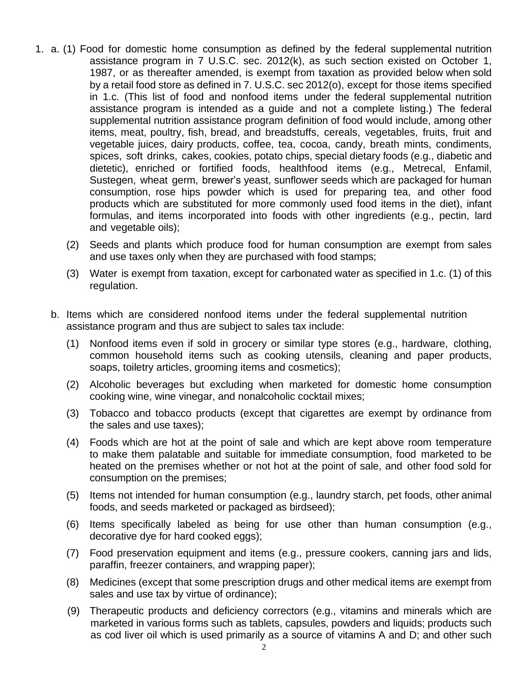- 1. a. (1) Food for domestic home consumption as defined by the federal supplemental nutrition assistance program in 7 U.S.C. sec. 2012(k), as such section existed on October 1, 1987, or as thereafter amended, is exempt from taxation as provided below when sold by a retail food store as defined in 7. U.S.C. sec 2012(o), except for those items specified in 1.c. (This list of food and nonfood items under the federal supplemental nutrition assistance program is intended as a guide and not a complete listing.) The federal supplemental nutrition assistance program definition of food would include, among other items, meat, poultry, fish, bread, and breadstuffs, cereals, vegetables, fruits, fruit and vegetable juices, dairy products, coffee, tea, cocoa, candy, breath mints, condiments, spices, soft drinks, cakes, cookies, potato chips, special dietary foods (e.g., diabetic and dietetic), enriched or fortified foods, healthfood items (e.g., Metrecal, Enfamil, Sustegen, wheat germ, brewer's yeast, sunflower seeds which are packaged for human consumption, rose hips powder which is used for preparing tea, and other food products which are substituted for more commonly used food items in the diet), infant formulas, and items incorporated into foods with other ingredients (e.g., pectin, lard and vegetable oils);
	- (2) Seeds and plants which produce food for human consumption are exempt from sales and use taxes only when they are purchased with food stamps;
	- (3) Water is exempt from taxation, except for carbonated water as specified in 1.c. (1) of this regulation.
	- b. Items which are considered nonfood items under the federal supplemental nutrition assistance program and thus are subject to sales tax include:
		- (1) Nonfood items even if sold in grocery or similar type stores (e.g., hardware, clothing, common household items such as cooking utensils, cleaning and paper products, soaps, toiletry articles, grooming items and cosmetics);
		- (2) Alcoholic beverages but excluding when marketed for domestic home consumption cooking wine, wine vinegar, and nonalcoholic cocktail mixes;
		- (3) Tobacco and tobacco products (except that cigarettes are exempt by ordinance from the sales and use taxes);
		- (4) Foods which are hot at the point of sale and which are kept above room temperature to make them palatable and suitable for immediate consumption, food marketed to be heated on the premises whether or not hot at the point of sale, and other food sold for consumption on the premises;
		- (5) Items not intended for human consumption (e.g., laundry starch, pet foods, other animal foods, and seeds marketed or packaged as birdseed);
		- (6) Items specifically labeled as being for use other than human consumption (e.g., decorative dye for hard cooked eggs);
		- (7) Food preservation equipment and items (e.g., pressure cookers, canning jars and lids, paraffin, freezer containers, and wrapping paper);
		- (8) Medicines (except that some prescription drugs and other medical items are exempt from sales and use tax by virtue of ordinance);
		- (9) Therapeutic products and deficiency correctors (e.g., vitamins and minerals which are marketed in various forms such as tablets, capsules, powders and liquids; products such as cod liver oil which is used primarily as a source of vitamins A and D; and other such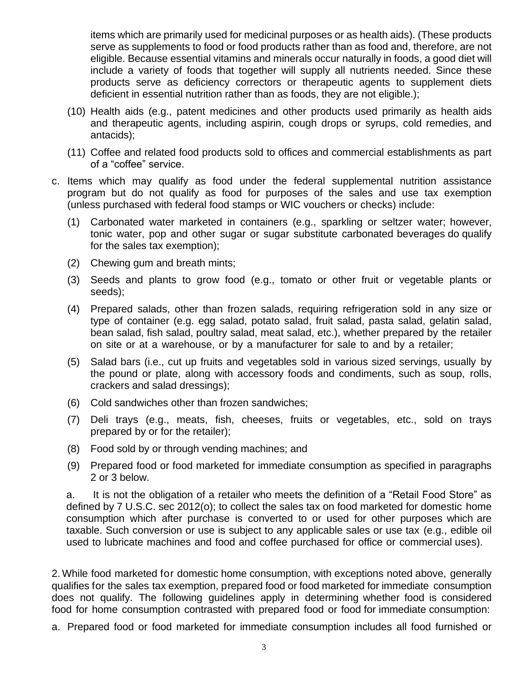items which are primarily used for medicinal purposes or as health aids). (These products serve as supplements to food or food products rather than as food and, therefore, are not eligible. Because essential vitamins and minerals occur naturally in foods, a good diet will include a variety of foods that together will supply all nutrients needed. Since these products serve as deficiency correctors or therapeutic agents to supplement diets deficient in essential nutrition rather than as foods, they are not eligible.);

- (10) Health aids (e.g., patent medicines and other products used primarily as health aids and therapeutic agents, including aspirin, cough drops or syrups, cold remedies, and antacids);
- (11) Coffee and related food products sold to offices and commercial establishments as part of a "coffee" service.
- c. Items which may qualify as food under the federal supplemental nutrition assistance program but do not qualify as food for purposes of the sales and use tax exemption (unless purchased with federal food stamps or WIC vouchers or checks) include:
	- (1) Carbonated water marketed in containers (e.g., sparkling or seltzer water; however, tonic water, pop and other sugar or sugar substitute carbonated beverages do qualify for the sales tax exemption);
	- (2) Chewing gum and breath mints;
	- (3) Seeds and plants to grow food (e.g., tomato or other fruit or vegetable plants or seeds);
	- (4) Prepared salads, other than frozen salads, requiring refrigeration sold in any size or type of container (e.g. egg salad, potato salad, fruit salad, pasta salad, gelatin salad, bean salad, fish salad, poultry salad, meat salad, etc.), whether prepared by the retailer on site or at a warehouse, or by a manufacturer for sale to and by a retailer;
	- (5) Salad bars (i.e., cut up fruits and vegetables sold in various sized servings, usually by the pound or plate, along with accessory foods and condiments, such as soup, rolls, crackers and salad dressings);
	- (6) Cold sandwiches other than frozen sandwiches;
	- (7) Deli trays (e.g., meats, fish, cheeses, fruits or vegetables, etc., sold on trays prepared by or for the retailer);
	- (8) Food sold by or through vending machines; and
	- (9) Prepared food or food marketed for immediate consumption as specified in paragraphs 2 or 3 below.

a. It is not the obligation of a retailer who meets the definition of a "Retail Food Store" as defined by 7 U.S.C. sec 2012(o); to collect the sales tax on food marketed for domestic home consumption which after purchase is converted to or used for other purposes which are taxable. Such conversion or use is subject to any applicable sales or use tax (e.g., edible oil used to lubricate machines and food and coffee purchased for office or commercial uses).

2. While food marketed for domestic home consumption, with exceptions noted above, generally qualifies for the sales tax exemption, prepared food or food marketed for immediate consumption does not qualify. The following guidelines apply in determining whether food is considered food for home consumption contrasted with prepared food or food for immediate consumption:

a. Prepared food or food marketed for immediate consumption includes all food furnished or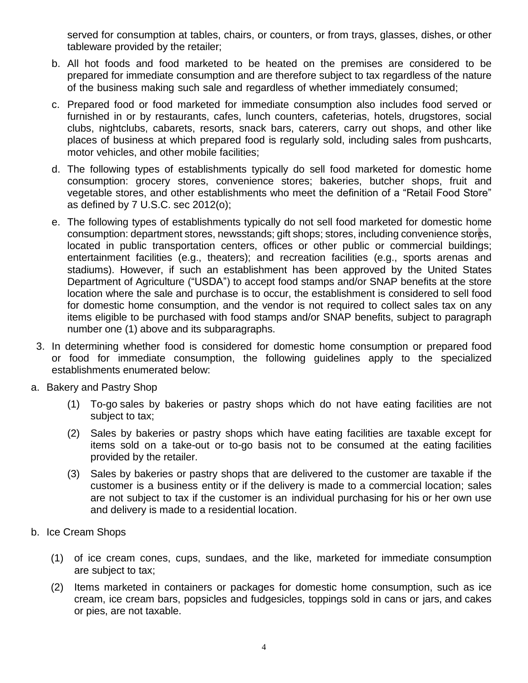served for consumption at tables, chairs, or counters, or from trays, glasses, dishes, or other tableware provided by the retailer;

- b. All hot foods and food marketed to be heated on the premises are considered to be prepared for immediate consumption and are therefore subject to tax regardless of the nature of the business making such sale and regardless of whether immediately consumed;
- c. Prepared food or food marketed for immediate consumption also includes food served or furnished in or by restaurants, cafes, lunch counters, cafeterias, hotels, drugstores, social clubs, nightclubs, cabarets, resorts, snack bars, caterers, carry out shops, and other like places of business at which prepared food is regularly sold, including sales from pushcarts, motor vehicles, and other mobile facilities;
- d. The following types of establishments typically do sell food marketed for domestic home consumption: grocery stores, convenience stores; bakeries, butcher shops, fruit and vegetable stores, and other establishments who meet the definition of a "Retail Food Store" as defined by 7 U.S.C. sec 2012(o);
- e. The following types of establishments typically do not sell food marketed for domestic home consumption: department stores, newsstands; gift shops; stores, including convenience stores, located in public transportation centers, offices or other public or commercial buildings; entertainment facilities (e.g., theaters); and recreation facilities (e.g., sports arenas and stadiums). However, if such an establishment has been approved by the United States Department of Agriculture ("USDA") to accept food stamps and/or SNAP benefits at the store location where the sale and purchase is to occur, the establishment is considered to sell food for domestic home consumption, and the vendor is not required to collect sales tax on any items eligible to be purchased with food stamps and/or SNAP benefits, subject to paragraph number one (1) above and its subparagraphs.
- 3. In determining whether food is considered for domestic home consumption or prepared food or food for immediate consumption, the following guidelines apply to the specialized establishments enumerated below:
- a. Bakery and Pastry Shop
	- (1) To-go sales by bakeries or pastry shops which do not have eating facilities are not subject to tax;
	- (2) Sales by bakeries or pastry shops which have eating facilities are taxable except for items sold on a take-out or to-go basis not to be consumed at the eating facilities provided by the retailer.
	- (3) Sales by bakeries or pastry shops that are delivered to the customer are taxable if the customer is a business entity or if the delivery is made to a commercial location; sales are not subject to tax if the customer is an individual purchasing for his or her own use and delivery is made to a residential location.
- b. Ice Cream Shops
	- (1) of ice cream cones, cups, sundaes, and the like, marketed for immediate consumption are subject to tax;
	- (2) Items marketed in containers or packages for domestic home consumption, such as ice cream, ice cream bars, popsicles and fudgesicles, toppings sold in cans or jars, and cakes or pies, are not taxable.